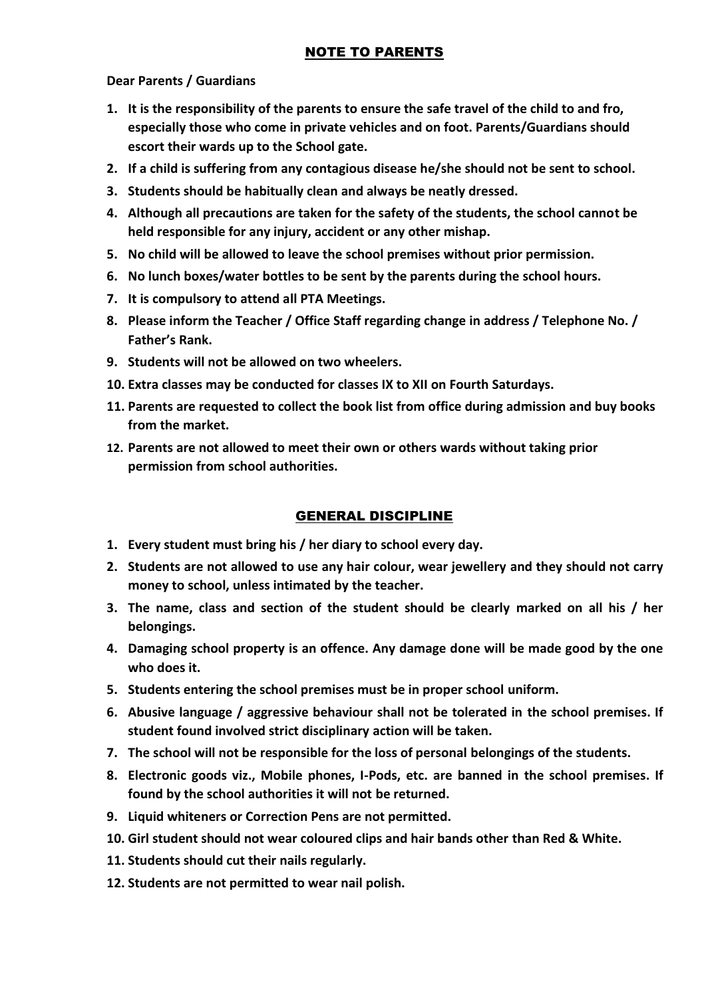# NOTE TO PARENTS

#### **Dear Parents / Guardians**

- **1. It is the responsibility of the parents to ensure the safe travel of the child to and fro, especially those who come in private vehicles and on foot. Parents/Guardians should escort their wards up to the School gate.**
- **2. If a child is suffering from any contagious disease he/she should not be sent to school.**
- **3. Students should be habitually clean and always be neatly dressed.**
- **4. Although all precautions are taken for the safety of the students, the school cannot be held responsible for any injury, accident or any other mishap.**
- **5. No child will be allowed to leave the school premises without prior permission.**
- **6. No lunch boxes/water bottles to be sent by the parents during the school hours.**
- **7. It is compulsory to attend all PTA Meetings.**
- **8. Please inform the Teacher / Office Staff regarding change in address / Telephone No. / Father's Rank.**
- **9. Students will not be allowed on two wheelers.**
- **10. Extra classes may be conducted for classes IX to XII on Fourth Saturdays.**
- **11. Parents are requested to collect the book list from office during admission and buy books from the market.**
- **12. Parents are not allowed to meet their own or others wards without taking prior permission from school authorities.**

# GENERAL DISCIPLINE

- **1. Every student must bring his / her diary to school every day.**
- **2. Students are not allowed to use any hair colour, wear jewellery and they should not carry money to school, unless intimated by the teacher.**
- **3. The name, class and section of the student should be clearly marked on all his / her belongings.**
- **4. Damaging school property is an offence. Any damage done will be made good by the one who does it.**
- **5. Students entering the school premises must be in proper school uniform.**
- **6. Abusive language / aggressive behaviour shall not be tolerated in the school premises. If student found involved strict disciplinary action will be taken.**
- **7. The school will not be responsible for the loss of personal belongings of the students.**
- **8. Electronic goods viz., Mobile phones, I-Pods, etc. are banned in the school premises. If found by the school authorities it will not be returned.**
- **9. Liquid whiteners or Correction Pens are not permitted.**
- **10. Girl student should not wear coloured clips and hair bands other than Red & White.**
- **11. Students should cut their nails regularly.**
- **12. Students are not permitted to wear nail polish.**